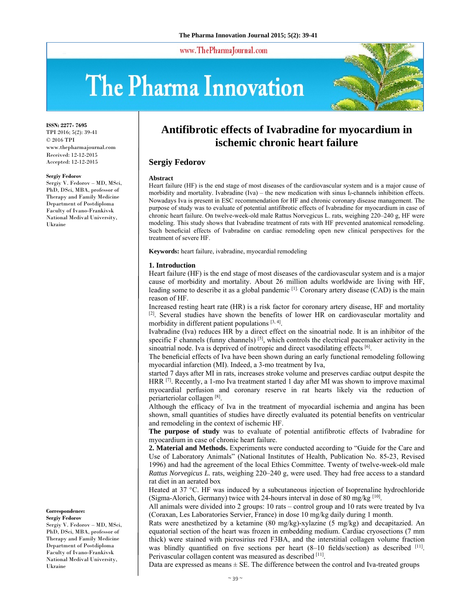www.ThePharmaJournal.com

# The Pharma Innovation



**ISSN: 2277- 7695** TPI 2016; 5(2): 39-41 © 2016 TPI www.thepharmajournal.com Received: 12-12-2015 Accepted: 12-12-2015

#### **Sergiy Fedorov**

Sergiy V. Fedorov – MD, MSci, PhD, DSci, MBA, professor of Therapy and Family Medicine Department of Postdiploma Faculty of Ivano-Frankivsk National Medival University, Ukraine

**Correspondence: Sergiy Fedorov** 

Sergiy V. Fedorov – MD, MSci, PhD, DSci, MBA, professor of Therapy and Family Medicine Department of Postdiploma Faculty of Ivano-Frankivsk National Medival University, Ukraine

# **Antifibrotic effects of Ivabradine for myocardium in ischemic chronic heart failure**

# **Sergiy Fedorov**

#### **Abstract**

Heart failure (HF) is the end stage of most diseases of the cardiovascular system and is a major cause of morbidity and mortality. Ivabradine (Iva) – the new medication with sinus If-channels inhibition effects. Nowadays Iva is present in ESC recommendation for HF and chronic coronary disease management. The purpose of study was to evaluate of potential antifibrotic effects of Ivabradine for myocardium in case of chronic heart failure. On twelve-week-old male Rattus Norvegicus L. rats, weighing 220–240 g, HF were modeling. This study shows that Ivabradine treatment of rats with HF prevented anatomical remodeling. Such beneficial effects of Ivabradine on cardiac remodeling open new clinical perspectives for the treatment of severe HF.

**Keywords:** heart failure, ivabradine, myocardial remodeling

### **1. Introduction**

Heart failure (HF) is the end stage of most diseases of the cardiovascular system and is a major cause of morbidity and mortality. About 26 million adults worldwide are living with HF, leading some to describe it as a global pandemic  $\left[1\right]$ . Coronary artery disease (CAD) is the main reason of HF.

Increased resting heart rate (HR) is a risk factor for coronary artery disease, HF and mortality  $[2]$ . Several studies have shown the benefits of lower HR on cardiovascular mortality and morbidity in different patient populations [3, 4].

Ivabradine (Iva) reduces HR by a direct effect on the sinoatrial node. It is an inhibitor of the specific F channels (funny channels) [5], which controls the electrical pacemaker activity in the sinoatrial node. Iva is deprived of inotropic and direct vasodilating effects [6].

The beneficial effects of Iva have been shown during an early functional remodeling following myocardial infarction (MI). Indeed, a 3-mo treatment by Iva,

started 7 days after MI in rats, increases stroke volume and preserves cardiac output despite the HRR [7]. Recently, a 1-mo Iva treatment started 1 day after MI was shown to improve maximal myocardial perfusion and coronary reserve in rat hearts likely via the reduction of periarteriolar collagen [8].

Although the efficacy of Iva in the treatment of myocardial ischemia and angina has been shown, small quantities of studies have directly evaluated its potential benefits on ventricular and remodeling in the context of ischemic HF.

**The purpose of study** was to evaluate of potential antifibrotic effects of Ivabradine for myocardium in case of chronic heart failure.

**2. Material and Methods.** Experiments were conducted according to "Guide for the Care and Use of Laboratory Animals" (National Institutes of Health, Publication No. 85-23, Revised 1996) and had the agreement of the local Ethics Committee. Twenty of twelve-week-old male *Rattus Norvegicus L.* rats, weighing 220–240 g, were used. They had free access to a standard rat diet in an aerated box

Heated at 37 °C. HF was induced by a subcutaneous injection of Isoprenaline hydrochloride (Sigma-Alorich, Germany) twice with 24-hours interval in dose of 80 mg/kg  $^{[10]}$ .

All animals were divided into 2 groups: 10 rats – control group and 10 rats were treated by Iva (Coraxan, Les Laboratories Servier, France) in dose 10 mg/kg daily during 1 month.

Rats were anesthetized by a ketamine (80 mg/kg)-xylazine (5 mg/kg) and decapitazied. An equatorial section of the heart was frozen in embedding medium. Cardiac cryosections (7 mm thick) were stained with picrosirius red F3BA, and the interstitial collagen volume fraction was blindly quantified on five sections per heart  $(8-10 \text{ fields/sec})$  as described  $[11]$ . Perivascular collagen content was measured as described [11].

Data are expressed as means  $\pm$  SE. The difference between the control and Iva-treated groups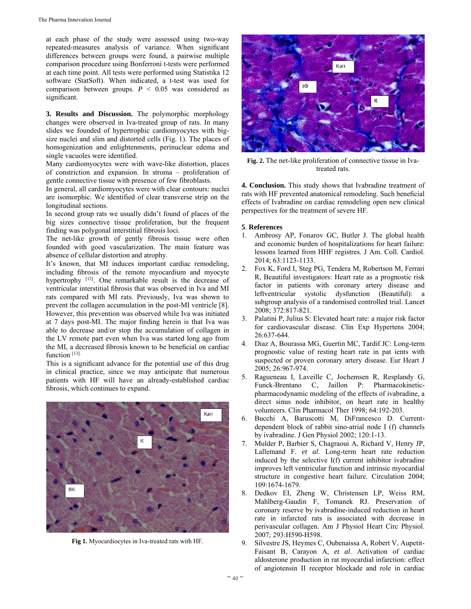at each phase of the study were assessed using two-way repeated-measures analysis of variance. When significant differences between groups were found, a pairwise multiple comparison procedure using Bonferroni t-tests were performed at each time point. All tests were performed using Statistika 12 software (StatSoft). When indicated, a t-test was used for comparison between groups.  $P < 0.05$  was considered as significant.

**3. Results and Discussion.** The polymorphic morphology changes were observed in Iva-treated group of rats. In many slides we founded of hypertrophic cardiomyocytes with bigsize nuclei and slim and distorted cells (Fig. 1). The places of homogenization and enlightenments, perinuclear edema and single vacuoles were identified.

Many cardiomyocytes were with wave-like distortion, places of constriction and expansion. In stroma – proliferation of gentle connective tissue with presence of few fibroblasts.

In general, all cardiomyocytes were with clear contours: nuclei are isomorphic. We identified of clear transverse strip on the longitudinal sections.

In second group rats we usually didn't found of places of the big sizes connective tissue proliferation, but the frequent finding was polygonal interstitial fibrosis loci.

The net-like growth of gently fibrosis tissue were often founded with good vascularization. The main feature was absence of cellular distortion and atrophy.

It's known, that MI induces important cardiac remodeling, including fibrosis of the remote myocardium and myocyte hypertrophy <sup>[12]</sup>. One remarkable result is the decrease of ventricular interstitial fibrosis that was observed in Iva and MI rats compared with MI rats. Previously, Iva was shown to prevent the collagen accumulation in the post-MI ventricle [8]. However, this prevention was observed while Iva was initiated at 7 days post-MI. The major finding herein is that Iva was able to decrease and/or stop the accumulation of collagen in the LV remote part even when Iva was started long ago from the MI, a decreased fibrosis known to be beneficial on cardiac function [13].

This is a significant advance for the potential use of this drug in clinical practice, since we may anticipate that numerous patients with HF will have an already-established cardiac fibrosis, which continues to expand.



**Fig 1.** Myocardiocytes in Iva-treated rats with HF.



**Fig. 2.** The net-like proliferation of connective tissue in Ivatreated rats.

**4. Conclusion.** This study shows that Ivabradine treatment of rats with HF prevented anatomical remodeling. Such beneficial effects of Ivabradine on cardiac remodeling open new clinical perspectives for the treatment of severe HF.

# **5**. **References**

- 1. Ambrosy AP, Fonarov GC, Butler J. The global health and economic burden of hospitalizations for heart failure: lessons learned from HHF registres. J Am. Coll. Cardiol. 2014; 63:1123-1133.
- 2. Fox K, Ford I, Steg PG, Tendera M, Robertson M, Ferrari R, Beautiful investigators: Heart rate as a prognostic risk factor in patients with coronary artery disease and leftventricular systolic dysfunction (Beautiful): a subgroup analysis of a randomised controlled trial. Lancet 2008; 372:817-821.
- 3. Palatini P, Julius S: Elevated heart rate: a major risk factor for cardiovascular disease. Clin Exp Hypertens 2004; 26:637-644.
- 4. Diaz A, Bourassa MG, Guertin MC, Tardif JC: Long-term prognostic value of resting heart rate in pat ients with suspected or proven coronary artery disease. Eur Heart J 2005; 26:967-974.
- 5. Ragueneau I, Laveille C, Jochemsen R, Resplandy G, Funck-Brentano C, Jaillon P: Pharmacokineticpharmacodynamic modeling of the effects of ivabradine, a direct sinus node inhibitor, on heart rate in healthy volunteers. Clin Pharmacol Ther 1998; 64:192-203.
- 6. Bucchi A, Baruscotti M, DiFrancesco D. Currentdependent block of rabbit sino-atrial node I (f) channels by ivabradine. J Gen Physiol 2002; 120:1-13.
- 7. Mulder P, Barbier S, Chagraoui A, Richard V, Henry JP, Lallemand F. *et al*. Long-term heart rate reduction induced by the selective I(f) current inhibitor ivabradine improves left ventricular function and intrinsic myocardial structure in congestive heart failure. Circulation 2004; 109:1674-1679.
- 8. Dedkov EI, Zheng W, Christensen LP, Weiss RM, Mahlberg-Gaudin F, Tomanek RJ. Preservation of coronary reserve by ivabradine-induced reduction in heart rate in infarcted rats is associated with decrease in perivascular collagen. Am J Physiol Heart Circ Physiol. 2007; 293:H590-H598.
- 9. Silvestre JS, Heymes C, Oubenaissa A, Robert V, Aupetit-Faisant B, Carayon A, *et al*. Activation of cardiac aldosterone production in rat myocardial infarction: effect of angiotensin II receptor blockade and role in cardiac